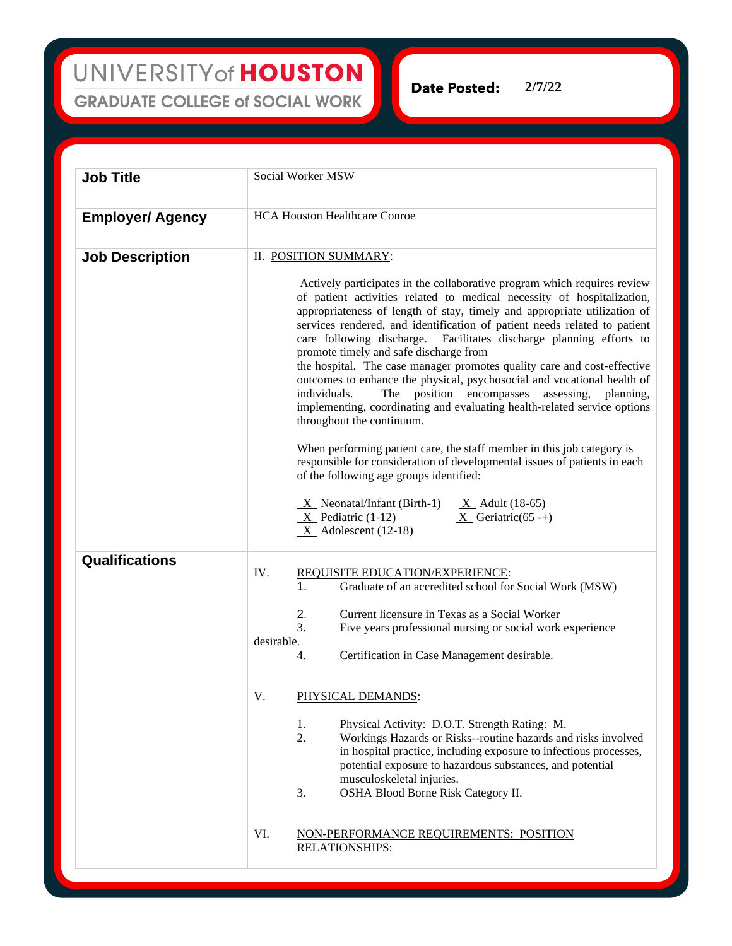UNIVERSITY of HOUSTON **GRADUATE COLLEGE of SOCIAL WORK** 

**Date Posted: 2/7/22**

**Job Title** Social Worker MSW **Employer/ Agency** HCA Houston Healthcare Conroe **Job Description** II. POSITION SUMMARY: Actively participates in the collaborative program which requires review of patient activities related to medical necessity of hospitalization, appropriateness of length of stay, timely and appropriate utilization of services rendered, and identification of patient needs related to patient care following discharge. Facilitates discharge planning efforts to promote timely and safe discharge from the hospital. The case manager promotes quality care and cost-effective outcomes to enhance the physical, psychosocial and vocational health of individuals. The position encompasses assessing, planning, implementing, coordinating and evaluating health-related service options throughout the continuum. When performing patient care, the staff member in this job category is responsible for consideration of developmental issues of patients in each of the following age groups identified:  $X$  Neonatal/Infant (Birth-1)  $X$  Adult (18-65)  $X$  Pediatric (1-12)  $X$  Geriatric (65 -+)  $X$  Adolescent (12-18) **Qualifications** IV. REQUISITE EDUCATION/EXPERIENCE: 1. Graduate of an accredited school for Social Work (MSW) 2. Current licensure in Texas as a Social Worker 3. Five years professional nursing or social work experience desirable. 4. Certification in Case Management desirable. V. PHYSICAL DEMANDS: 1. Physical Activity: D.O.T. Strength Rating: M. 2. Workings Hazards or Risks--routine hazards and risks involved in hospital practice, including exposure to infectious processes, potential exposure to hazardous substances, and potential musculoskeletal injuries. 3. OSHA Blood Borne Risk Category II. VI. NON-PERFORMANCE REQUIREMENTS: POSITION RELATIONSHIPS: